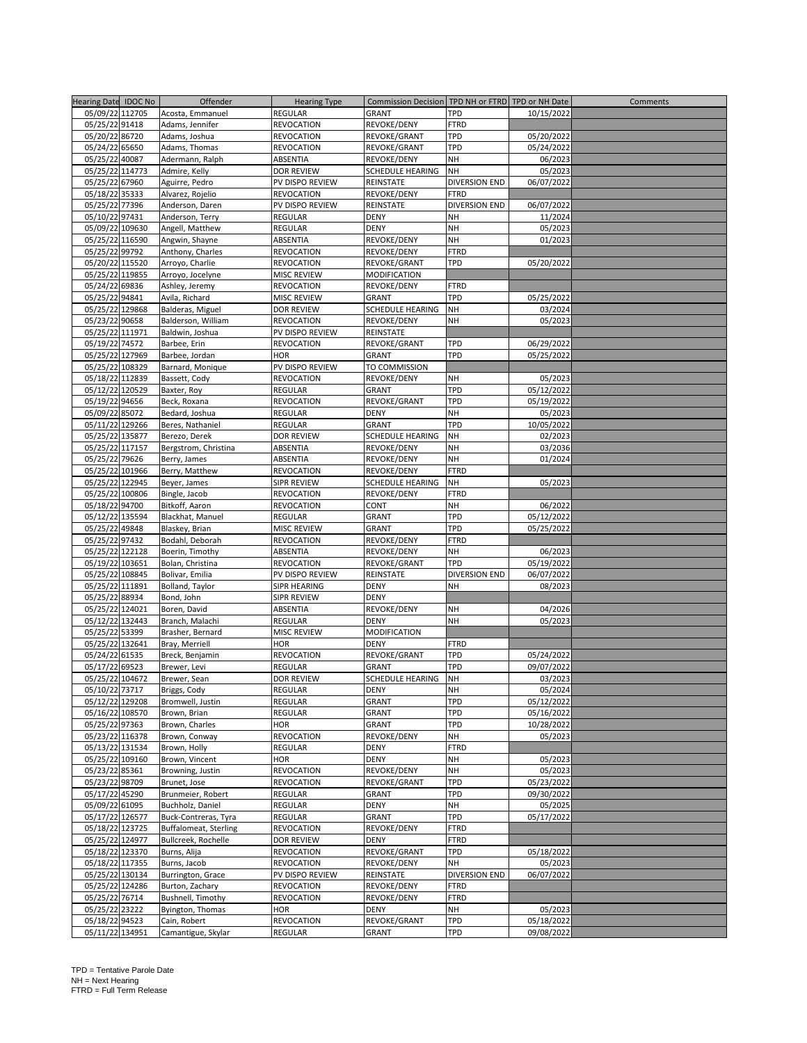| Hearing Date IDOC No | Offender                     | <b>Hearing Type</b> | Commission Decision TPD NH or FTRD TPD or NH Date |                      |            | Comments |
|----------------------|------------------------------|---------------------|---------------------------------------------------|----------------------|------------|----------|
|                      |                              |                     |                                                   |                      |            |          |
| 05/09/22 112705      | Acosta, Emmanuel             | <b>REGULAR</b>      | GRANT                                             | TPD                  | 10/15/2022 |          |
| 05/25/22 91418       | Adams, Jennifer              | <b>REVOCATION</b>   | REVOKE/DENY                                       | <b>FTRD</b>          |            |          |
| 05/20/22 86720       | Adams, Joshua                | <b>REVOCATION</b>   | REVOKE/GRANT                                      | <b>TPD</b>           | 05/20/2022 |          |
|                      |                              |                     |                                                   |                      |            |          |
| 05/24/22 65650       | Adams, Thomas                | <b>REVOCATION</b>   | REVOKE/GRANT                                      | <b>TPD</b>           | 05/24/2022 |          |
| 05/25/22 40087       | Adermann, Ralph              | ABSENTIA            | REVOKE/DENY                                       | NH                   | 06/2023    |          |
| 05/25/22 114773      | Admire, Kelly                | <b>DOR REVIEW</b>   | SCHEDULE HEARING                                  | NH                   | 05/2023    |          |
| 05/25/22 67960       | Aguirre, Pedro               | PV DISPO REVIEW     | REINSTATE                                         | DIVERSION END        | 06/07/2022 |          |
|                      |                              |                     |                                                   |                      |            |          |
| 05/18/22 35333       | Alvarez, Rojelio             | <b>REVOCATION</b>   | REVOKE/DENY                                       | <b>FTRD</b>          |            |          |
| 05/25/22 77396       | Anderson, Daren              | PV DISPO REVIEW     | REINSTATE                                         | DIVERSION END        | 06/07/2022 |          |
| 05/10/22 97431       | Anderson, Terry              | REGULAR             | DENY                                              | NH                   | 11/2024    |          |
| 05/09/22 109630      | Angell, Matthew              | <b>REGULAR</b>      | <b>DENY</b>                                       | <b>NH</b>            | 05/2023    |          |
|                      |                              |                     |                                                   |                      |            |          |
| 05/25/22 116590      | Angwin, Shayne               | ABSENTIA            | REVOKE/DENY                                       | NH                   | 01/2023    |          |
| 05/25/22 99792       | Anthony, Charles             | <b>REVOCATION</b>   | REVOKE/DENY                                       | <b>FTRD</b>          |            |          |
| 05/20/22 115520      | Arroyo, Charlie              | <b>REVOCATION</b>   | REVOKE/GRANT                                      | TPD                  | 05/20/2022 |          |
| 05/25/22 119855      | Arroyo, Jocelyne             | <b>MISC REVIEW</b>  | MODIFICATION                                      |                      |            |          |
| 05/24/22 69836       | Ashley, Jeremy               | <b>REVOCATION</b>   | REVOKE/DENY                                       | <b>FTRD</b>          |            |          |
|                      |                              |                     |                                                   |                      |            |          |
| 05/25/22 94841       | Avila, Richard               | MISC REVIEW         | GRANT                                             | TPD                  | 05/25/2022 |          |
| 05/25/22 129868      | Balderas, Miguel             | DOR REVIEW          | SCHEDULE HEARING                                  | NH                   | 03/2024    |          |
| 05/23/22 90658       | Balderson, William           | <b>REVOCATION</b>   | REVOKE/DENY                                       | NH                   | 05/2023    |          |
| 05/25/22 111971      | Baldwin, Joshua              | PV DISPO REVIEW     | REINSTATE                                         |                      |            |          |
|                      |                              |                     |                                                   |                      |            |          |
| 05/19/22 74572       | Barbee, Erin                 | <b>REVOCATION</b>   | REVOKE/GRANT                                      | TPD                  | 06/29/2022 |          |
| 05/25/22 127969      | Barbee, Jordan               | HOR                 | GRANT                                             | TPD                  | 05/25/2022 |          |
| 05/25/22 108329      | Barnard, Monique             | PV DISPO REVIEW     | TO COMMISSION                                     |                      |            |          |
| 05/18/22 112839      | Bassett, Cody                | <b>REVOCATION</b>   | REVOKE/DENY                                       | NΗ                   | 05/2023    |          |
| 05/12/22 120529      | Baxter, Roy                  | <b>REGULAR</b>      | GRANT                                             | TPD                  | 05/12/2022 |          |
|                      |                              |                     |                                                   |                      |            |          |
| 05/19/22 94656       | Beck, Roxana                 | <b>REVOCATION</b>   | REVOKE/GRANT                                      | TPD                  | 05/19/2022 |          |
| 05/09/22 85072       | Bedard, Joshua               | <b>REGULAR</b>      | <b>DENY</b>                                       | <b>NH</b>            | 05/2023    |          |
| 05/11/22 129266      | Beres, Nathaniel             | REGULAR             | GRANT                                             | TPD                  | 10/05/2022 |          |
| 05/25/22 135877      | Berezo, Derek                | <b>DOR REVIEW</b>   | SCHEDULE HEARING                                  | NH                   | 02/2023    |          |
|                      |                              |                     |                                                   |                      |            |          |
| 05/25/22 117157      | Bergstrom, Christina         | ABSENTIA            | REVOKE/DENY                                       | NH                   | 03/2036    |          |
| 05/25/22 79626       | Berry, James                 | ABSENTIA            | REVOKE/DENY                                       | NH                   | 01/2024    |          |
| 05/25/22 101966      | Berry, Matthew               | <b>REVOCATION</b>   | REVOKE/DENY                                       | <b>FTRD</b>          |            |          |
| 05/25/22 122945      | Beyer, James                 | <b>SIPR REVIEW</b>  | SCHEDULE HEARING                                  | NH                   | 05/2023    |          |
| 05/25/22 100806      | Bingle, Jacob                | <b>REVOCATION</b>   | REVOKE/DENY                                       | <b>FTRD</b>          |            |          |
|                      |                              |                     |                                                   |                      |            |          |
| 05/18/22 94700       | Bitkoff, Aaron               | <b>REVOCATION</b>   | CONT                                              | NH                   | 06/2022    |          |
| 05/12/22 135594      | Blackhat, Manuel             | REGULAR             | GRANT                                             | TPD                  | 05/12/2022 |          |
| 05/25/22 49848       | Blaskey, Brian               | MISC REVIEW         | GRANT                                             | TPD                  | 05/25/2022 |          |
| 05/25/22 97432       | Bodahl, Deborah              | <b>REVOCATION</b>   | REVOKE/DENY                                       | <b>FTRD</b>          |            |          |
|                      |                              |                     |                                                   |                      |            |          |
| 05/25/22 122128      | Boerin, Timothy              | ABSENTIA            | REVOKE/DENY                                       | NH                   | 06/2023    |          |
| 05/19/22 103651      | Bolan, Christina             | <b>REVOCATION</b>   | REVOKE/GRANT                                      | TPD                  | 05/19/2022 |          |
| 05/25/22 108845      | Bolivar, Emilia              | PV DISPO REVIEW     | REINSTATE                                         | <b>DIVERSION END</b> | 06/07/2022 |          |
| 05/25/22 111891      | Bolland, Taylor              | SIPR HEARING        | <b>DENY</b>                                       | <b>NH</b>            | 08/2023    |          |
|                      |                              |                     |                                                   |                      |            |          |
| 05/25/22 88934       | Bond, John                   | SIPR REVIEW         | DENY                                              |                      |            |          |
| 05/25/22 124021      | Boren, David                 | ABSENTIA            | REVOKE/DENY                                       | NH                   | 04/2026    |          |
| 05/12/22 132443      | Branch, Malachi              | <b>REGULAR</b>      | DENY                                              | <b>NH</b>            | 05/2023    |          |
| 05/25/22 53399       | Brasher, Bernard             | <b>MISC REVIEW</b>  | MODIFICATION                                      |                      |            |          |
| 05/25/22 132641      | Bray, Merriell               | <b>HOR</b>          | DENY                                              | <b>FTRD</b>          |            |          |
|                      |                              |                     |                                                   |                      |            |          |
| 05/24/22 61535       | Breck, Benjamin              | <b>REVOCATION</b>   | REVOKE/GRANT                                      | TPD                  | 05/24/2022 |          |
| 05/17/22 69523       | Brewer, Levi                 | REGULAR             | GRANT                                             | <b>TPD</b>           | 09/07/2022 |          |
| 05/25/22 104672      | Brewer, Sean                 | <b>DOR REVIEW</b>   | <b>SCHEDULE HEARING</b>                           | NH                   | 03/2023    |          |
| 05/10/22 73717       | Briggs, Cody                 | <b>REGULAR</b>      | <b>DENY</b>                                       | NH                   | 05/2024    |          |
| 05/12/22 129208      | Bromwell, Justin             | <b>REGULAR</b>      | GRANT                                             | TPD                  | 05/12/2022 |          |
|                      |                              |                     |                                                   |                      |            |          |
| 05/16/22 108570      | Brown, Brian                 | <b>REGULAR</b>      | GRANT                                             | TPD                  | 05/16/2022 |          |
| 05/25/22 97363       | Brown, Charles               | <b>HOR</b>          | GRANT                                             | TPD                  | 10/28/2022 |          |
| 05/23/22 116378      | Brown, Conway                | <b>REVOCATION</b>   | REVOKE/DENY                                       | NH                   | 05/2023    |          |
| 05/13/22 131534      | Brown, Holly                 | REGULAR             | DENY                                              | <b>FTRD</b>          |            |          |
| 05/25/22 109160      | Brown, Vincent               | <b>HOR</b>          | DENY                                              | NH                   |            |          |
|                      |                              |                     |                                                   |                      | 05/2023    |          |
| 05/23/22 85361       | Browning, Justin             | <b>REVOCATION</b>   | REVOKE/DENY                                       | NH                   | 05/2023    |          |
| 05/23/22 98709       | Brunet, Jose                 | <b>REVOCATION</b>   | REVOKE/GRANT                                      | <b>TPD</b>           | 05/23/2022 |          |
| 05/17/22 45290       | Brunmeier, Robert            | <b>REGULAR</b>      | GRANT                                             | TPD                  | 09/30/2022 |          |
| 05/09/22 61095       | Buchholz, Daniel             | <b>REGULAR</b>      | DENY                                              | NH                   | 05/2025    |          |
| 05/17/22 126577      | Buck-Contreras, Tyra         | <b>REGULAR</b>      | GRANT                                             | TPD                  | 05/17/2022 |          |
|                      |                              |                     |                                                   |                      |            |          |
| 05/18/22 123725      | <b>Buffalomeat, Sterling</b> | <b>REVOCATION</b>   | REVOKE/DENY                                       | <b>FTRD</b>          |            |          |
| 05/25/22 124977      | Bullcreek, Rochelle          | DOR REVIEW          | DENY                                              | <b>FTRD</b>          |            |          |
| 05/18/22 123370      | Burns, Alija                 | <b>REVOCATION</b>   | REVOKE/GRANT                                      | TPD                  | 05/18/2022 |          |
| 05/18/22 117355      | Burns, Jacob                 | <b>REVOCATION</b>   | REVOKE/DENY                                       | NH                   | 05/2023    |          |
|                      |                              |                     |                                                   |                      |            |          |
| 05/25/22 130134      | Burrington, Grace            | PV DISPO REVIEW     | REINSTATE                                         | <b>DIVERSION END</b> | 06/07/2022 |          |
| 05/25/22 124286      | Burton, Zachary              | <b>REVOCATION</b>   | REVOKE/DENY                                       | <b>FTRD</b>          |            |          |
| 05/25/22 76714       | Bushnell, Timothy            | <b>REVOCATION</b>   | REVOKE/DENY                                       | <b>FTRD</b>          |            |          |
| 05/25/22 23222       | Byington, Thomas             | <b>HOR</b>          | <b>DENY</b>                                       | NH                   | 05/2023    |          |
| 05/18/22 94523       | Cain, Robert                 | <b>REVOCATION</b>   | REVOKE/GRANT                                      | TPD                  | 05/18/2022 |          |
|                      |                              |                     |                                                   |                      |            |          |
| 05/11/22 134951      | Camantigue, Skylar           | REGULAR             | GRANT                                             | TPD                  | 09/08/2022 |          |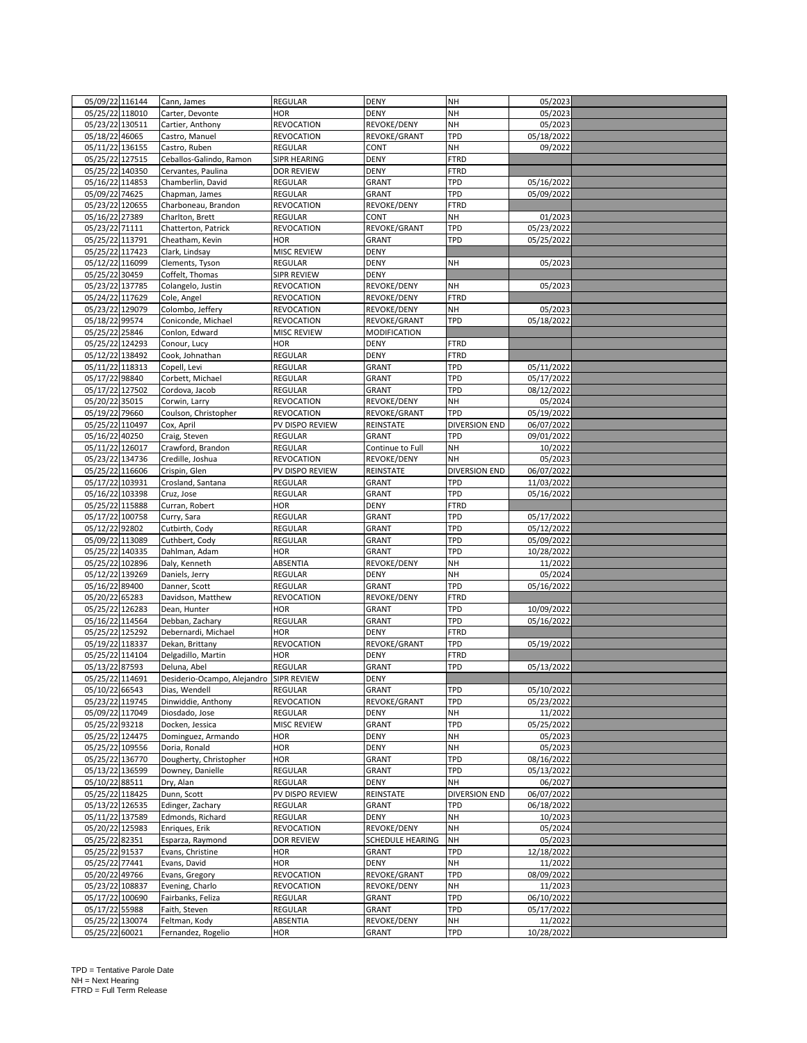| 05/09/22 116144                   | Cann, James                 | <b>REGULAR</b>     | <b>DENY</b>         | <b>NH</b>            | 05/2023    |  |
|-----------------------------------|-----------------------------|--------------------|---------------------|----------------------|------------|--|
| 05/25/22 118010                   | Carter, Devonte             | <b>HOR</b>         | <b>DENY</b>         | NH                   | 05/2023    |  |
| 05/23/22 130511                   | Cartier, Anthony            | <b>REVOCATION</b>  | REVOKE/DENY         | NH                   | 05/2023    |  |
|                                   |                             |                    |                     | TPD                  |            |  |
| 05/18/22 46065                    | Castro, Manuel              | <b>REVOCATION</b>  | REVOKE/GRANT        |                      | 05/18/2022 |  |
| 05/11/22 136155                   | Castro, Ruben               | REGULAR            | CONT                | NH                   | 09/2022    |  |
| 05/25/22 127515                   | Ceballos-Galindo, Ramon     | SIPR HEARING       | <b>DENY</b>         | <b>FTRD</b>          |            |  |
| 05/25/22 140350                   | Cervantes, Paulina          | <b>DOR REVIEW</b>  | <b>DENY</b>         | <b>FTRD</b>          |            |  |
| 05/16/22 114853                   | Chamberlin, David           | <b>REGULAR</b>     | GRANT               | TPD                  | 05/16/2022 |  |
| 05/09/22 74625                    | Chapman, James              | REGULAR            | GRANT               | <b>TPD</b>           | 05/09/2022 |  |
| 05/23/22 120655                   | Charboneau, Brandon         | <b>REVOCATION</b>  | REVOKE/DENY         | <b>FTRD</b>          |            |  |
| 05/16/22 27389                    | Charlton, Brett             | <b>REGULAR</b>     | CONT                | NH                   | 01/2023    |  |
| 05/23/22 71111                    | Chatterton, Patrick         | <b>REVOCATION</b>  | REVOKE/GRANT        | <b>TPD</b>           | 05/23/2022 |  |
| 05/25/22 113791                   | Cheatham, Kevin             | HOR                | GRANT               | TPD                  | 05/25/2022 |  |
| 05/25/22 117423                   | Clark, Lindsay              | MISC REVIEW        | <b>DENY</b>         |                      |            |  |
| 05/12/22 116099                   | Clements, Tyson             | <b>REGULAR</b>     | <b>DENY</b>         | NH                   | 05/2023    |  |
| 05/25/22 30459                    | Coffelt, Thomas             | <b>SIPR REVIEW</b> | <b>DENY</b>         |                      |            |  |
|                                   |                             |                    |                     |                      |            |  |
| 05/23/22 137785                   | Colangelo, Justin           | <b>REVOCATION</b>  | REVOKE/DENY         | NH                   | 05/2023    |  |
| 05/24/22 117629                   | Cole, Angel                 | <b>REVOCATION</b>  | REVOKE/DENY         | <b>FTRD</b>          |            |  |
| 05/23/22 129079                   | Colombo, Jeffery            | <b>REVOCATION</b>  | REVOKE/DENY         | NH                   | 05/2023    |  |
| 05/18/22 99574                    | Coniconde, Michael          | <b>REVOCATION</b>  | REVOKE/GRANT        | TPD                  | 05/18/2022 |  |
| 05/25/22 25846                    | Conlon, Edward              | MISC REVIEW        | <b>MODIFICATION</b> |                      |            |  |
| 05/25/22 124293                   | Conour, Lucy                | <b>HOR</b>         | <b>DENY</b>         | <b>FTRD</b>          |            |  |
| 05/12/22 138492                   | Cook, Johnathan             | REGULAR            | <b>DENY</b>         | <b>FTRD</b>          |            |  |
| 05/11/22 118313                   | Copell, Levi                | <b>REGULAR</b>     | GRANT               | TPD                  | 05/11/2022 |  |
| 05/17/22 98840                    | Corbett, Michael            | <b>REGULAR</b>     | GRANT               | <b>TPD</b>           | 05/17/2022 |  |
| 05/17/22 127502                   | Cordova, Jacob              | <b>REGULAR</b>     | GRANT               | TPD                  | 08/12/2022 |  |
| 05/20/22 35015                    | Corwin, Larry               | <b>REVOCATION</b>  | REVOKE/DENY         | NH                   | 05/2024    |  |
| 05/19/22 79660                    | Coulson, Christopher        | <b>REVOCATION</b>  | REVOKE/GRANT        | TPD                  | 05/19/2022 |  |
| 05/25/22 110497                   | Cox, April                  | PV DISPO REVIEW    | REINSTATE           | <b>DIVERSION END</b> | 06/07/2022 |  |
| 05/16/22 40250                    | Craig, Steven               | <b>REGULAR</b>     | GRANT               | <b>TPD</b>           | 09/01/2022 |  |
| 05/11/22 126017                   |                             |                    |                     | NH                   | 10/2022    |  |
|                                   | Crawford, Brandon           | <b>REGULAR</b>     | Continue to Full    |                      |            |  |
| 05/23/22 134736                   | Credille, Joshua            | <b>REVOCATION</b>  | REVOKE/DENY         | NH                   | 05/2023    |  |
| 05/25/22 116606                   | Crispin, Glen               | PV DISPO REVIEW    | REINSTATE           | <b>DIVERSION END</b> | 06/07/2022 |  |
| 05/17/22 103931                   | Crosland, Santana           | REGULAR            | GRANT               | TPD                  | 11/03/2022 |  |
| 05/16/22 103398                   | Cruz, Jose                  | REGULAR            | GRANT               | TPD                  | 05/16/2022 |  |
| 05/25/22 115888                   | Curran, Robert              | <b>HOR</b>         | <b>DENY</b>         | <b>FTRD</b>          |            |  |
| 05/17/22 100758                   | Curry, Sara                 | <b>REGULAR</b>     | GRANT               | <b>TPD</b>           | 05/17/2022 |  |
| 05/12/22 92802                    | Cutbirth, Cody              | REGULAR            | GRANT               | TPD                  | 05/12/2022 |  |
| 05/09/22 113089                   | Cuthbert, Cody              | <b>REGULAR</b>     | GRANT               | TPD                  | 05/09/2022 |  |
| 05/25/22 140335                   | Dahlman, Adam               | <b>HOR</b>         | GRANT               | TPD                  | 10/28/2022 |  |
| 05/25/22 102896                   | Daly, Kenneth               | ABSENTIA           | REVOKE/DENY         | NH                   | 11/2022    |  |
| 05/12/22 139269                   | Daniels, Jerry              | <b>REGULAR</b>     | DENY                | NH                   | 05/2024    |  |
| 05/16/22 89400                    | Danner, Scott               | <b>REGULAR</b>     | GRANT               | TPD                  | 05/16/2022 |  |
| 05/20/22 65283                    | Davidson, Matthew           | <b>REVOCATION</b>  | REVOKE/DENY         | <b>FTRD</b>          |            |  |
| 05/25/22 126283                   | Dean, Hunter                | <b>HOR</b>         | GRANT               | TPD                  | 10/09/2022 |  |
| 05/16/22 114564                   | Debban, Zachary             | REGULAR            | GRANT               | TPD                  | 05/16/2022 |  |
| 05/25/22 125292                   | Debernardi, Michael         | <b>HOR</b>         | DENY                | <b>FTRD</b>          |            |  |
| 05/19/22 118337                   | Dekan, Brittany             | <b>REVOCATION</b>  | REVOKE/GRANT        | TPD                  | 05/19/2022 |  |
| 05/25/22 114104                   | Delgadillo, Martin          | HOR                | <b>DENY</b>         | <b>FTRD</b>          |            |  |
|                                   |                             |                    |                     |                      |            |  |
| 05/13/22 87593                    | Deluna, Abel                | REGULAR            | GRANT               | TPD                  | 05/13/2022 |  |
| 05/25/22 114691                   | Desiderio-Ocampo, Alejandro | <b>SIPR REVIEW</b> | <b>DENY</b>         |                      |            |  |
| 05/10/22 66543                    | Dias, Wendell               | <b>REGULAR</b>     | <b>GRANT</b>        | TPD                  | 05/10/2022 |  |
| 05/23/22 119745                   | Dinwiddie, Anthony          | <b>REVOCATION</b>  | REVOKE/GRANT        | TPD                  | 05/23/2022 |  |
| 05/09/22 117049                   | Diosdado, Jose              | <b>REGULAR</b>     | DENY                | NH                   | 11/2022    |  |
| 05/25/22 93218                    | Docken, Jessica             | <b>MISC REVIEW</b> | GRANT               | <b>TPD</b>           | 05/25/2022 |  |
| 05/25/22 124475                   | Dominguez, Armando          | HOR                | <b>DENY</b>         | NH                   | 05/2023    |  |
| 05/25/22 109556                   | Doria, Ronald               | <b>HOR</b>         | <b>DENY</b>         | NH                   | 05/2023    |  |
| 05/25/22 136770                   | Dougherty, Christopher      | <b>HOR</b>         | GRANT               | TPD                  | 08/16/2022 |  |
| 05/13/22 136599                   | Downey, Danielle            | <b>REGULAR</b>     | GRANT               | <b>TPD</b>           | 05/13/2022 |  |
| 05/10/22 88511                    | Dry, Alan                   | REGULAR            | <b>DENY</b>         | NH                   | 06/2027    |  |
| 05/25/22 118425                   | Dunn, Scott                 | PV DISPO REVIEW    | REINSTATE           | <b>DIVERSION END</b> | 06/07/2022 |  |
| 05/13/22 126535                   | Edinger, Zachary            | <b>REGULAR</b>     | GRANT               | <b>TPD</b>           | 06/18/2022 |  |
| 05/11/22 137589                   | Edmonds, Richard            | REGULAR            | <b>DENY</b>         | NH                   | 10/2023    |  |
| 05/20/22 125983                   | Enriques, Erik              | <b>REVOCATION</b>  | REVOKE/DENY         | NH                   | 05/2024    |  |
| 05/25/22 82351                    | Esparza, Raymond            | <b>DOR REVIEW</b>  | SCHEDULE HEARING    | <b>NH</b>            | 05/2023    |  |
| 05/25/22 91537                    | Evans, Christine            | HOR                | GRANT               | TPD                  | 12/18/2022 |  |
| 05/25/22 77441                    | Evans, David                | <b>HOR</b>         | <b>DENY</b>         | NH                   | 11/2022    |  |
| 05/20/22 49766                    | Evans, Gregory              | REVOCATION         | REVOKE/GRANT        | <b>TPD</b>           | 08/09/2022 |  |
| 05/23/22 108837                   | Evening, Charlo             | <b>REVOCATION</b>  | REVOKE/DENY         | NH                   | 11/2023    |  |
| 05/17/22 100690                   | Fairbanks, Feliza           | REGULAR            | GRANT               | <b>TPD</b>           | 06/10/2022 |  |
|                                   |                             |                    |                     | TPD                  | 05/17/2022 |  |
| 05/17/22 55988                    | Faith, Steven               | REGULAR            | GRANT               |                      |            |  |
| 05/25/22 130074<br>05/25/22 60021 | Feltman, Kody               | ABSENTIA           | REVOKE/DENY         | NH                   | 11/2022    |  |
|                                   | Fernandez, Rogelio          | HOR                | GRANT               | TPD                  | 10/28/2022 |  |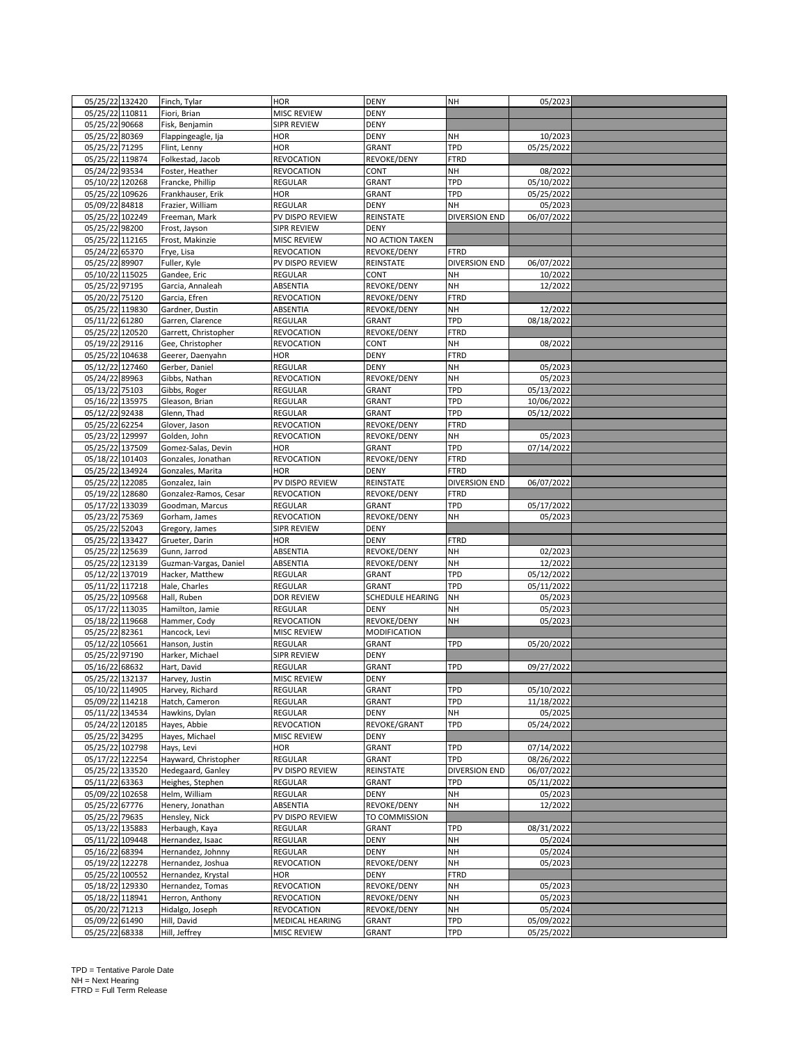| 05/25/22 132420 |                | Finch, Tylar                       | <b>HOR</b>         | <b>DENY</b>      | NH                   | 05/2023    |  |
|-----------------|----------------|------------------------------------|--------------------|------------------|----------------------|------------|--|
| 05/25/22 110811 |                | Fiori, Brian                       | MISC REVIEW        | <b>DENY</b>      |                      |            |  |
| 05/25/22 90668  |                | Fisk, Benjamin                     | SIPR REVIEW        | <b>DENY</b>      |                      |            |  |
| 05/25/22 80369  |                | Flappingeagle, Ija                 | <b>HOR</b>         | <b>DENY</b>      | NH                   | 10/2023    |  |
| 05/25/22 71295  |                | Flint, Lenny                       | <b>HOR</b>         | GRANT            | TPD                  | 05/25/2022 |  |
| 05/25/22 119874 |                | Folkestad, Jacob                   | <b>REVOCATION</b>  | REVOKE/DENY      | <b>FTRD</b>          |            |  |
| 05/24/22 93534  |                | Foster, Heather                    | REVOCATION         | CONT             | NH                   | 08/2022    |  |
| 05/10/22 120268 |                | Francke, Phillip                   | <b>REGULAR</b>     | GRANT            | <b>TPD</b>           | 05/10/2022 |  |
| 05/25/22 109626 |                | Frankhauser, Erik                  | <b>HOR</b>         | GRANT            | TPD                  | 05/25/2022 |  |
| 05/09/22 84818  |                | Frazier, William                   | REGULAR            | <b>DENY</b>      | NH                   | 05/2023    |  |
| 05/25/22 102249 |                | Freeman, Mark                      | PV DISPO REVIEW    |                  | <b>DIVERSION END</b> | 06/07/2022 |  |
| 05/25/22 98200  |                |                                    |                    | REINSTATE        |                      |            |  |
|                 |                | Frost, Jayson                      | <b>SIPR REVIEW</b> | <b>DENY</b>      |                      |            |  |
| 05/25/22 112165 |                | Frost, Makinzie                    | MISC REVIEW        | NO ACTION TAKEN  |                      |            |  |
| 05/24/22 65370  |                | Frye, Lisa                         | REVOCATION         | REVOKE/DENY      | <b>FTRD</b>          |            |  |
| 05/25/22 89907  |                | Fuller, Kyle                       | PV DISPO REVIEW    | REINSTATE        | <b>DIVERSION END</b> | 06/07/2022 |  |
| 05/10/22 115025 |                | Gandee, Eric                       | REGULAR            | CONT             | NH                   | 10/2022    |  |
| 05/25/22 97195  |                | Garcia, Annaleah                   | ABSENTIA           | REVOKE/DENY      | NH                   | 12/2022    |  |
| 05/20/22 75120  |                | Garcia, Efren                      | <b>REVOCATION</b>  | REVOKE/DENY      | <b>FTRD</b>          |            |  |
| 05/25/22 119830 |                | Gardner, Dustin                    | ABSENTIA           | REVOKE/DENY      | NH                   | 12/2022    |  |
| 05/11/22 61280  |                | Garren, Clarence                   | <b>REGULAR</b>     | GRANT            | TPD                  | 08/18/2022 |  |
| 05/25/22 120520 |                | Garrett, Christopher               | <b>REVOCATION</b>  | REVOKE/DENY      | <b>FTRD</b>          |            |  |
| 05/19/22 29116  |                | Gee, Christopher                   | <b>REVOCATION</b>  | CONT             | NH                   | 08/2022    |  |
| 05/25/22 104638 |                | Geerer, Daenyahn                   | HOR                | <b>DENY</b>      | <b>FTRD</b>          |            |  |
| 05/12/22 127460 |                | Gerber, Daniel                     | REGULAR            | <b>DENY</b>      | NH                   | 05/2023    |  |
| 05/24/22 89963  |                | Gibbs, Nathan                      | <b>REVOCATION</b>  | REVOKE/DENY      | NH                   | 05/2023    |  |
| 05/13/22 75103  |                | Gibbs, Roger                       | <b>REGULAR</b>     | GRANT            | <b>TPD</b>           | 05/13/2022 |  |
| 05/16/22 135975 |                | Gleason, Brian                     | <b>REGULAR</b>     | GRANT            | TPD                  | 10/06/2022 |  |
| 05/12/22 92438  |                | Glenn, Thad                        | <b>REGULAR</b>     | GRANT            | TPD                  | 05/12/2022 |  |
| 05/25/22 62254  |                | Glover, Jason                      | <b>REVOCATION</b>  | REVOKE/DENY      | <b>FTRD</b>          |            |  |
| 05/23/22 129997 |                | Golden, John                       | <b>REVOCATION</b>  | REVOKE/DENY      | NH                   | 05/2023    |  |
| 05/25/22 137509 |                | Gomez-Salas, Devin                 | <b>HOR</b>         | GRANT            | TPD                  | 07/14/2022 |  |
| 05/18/22 101403 |                | Gonzales, Jonathan                 | REVOCATION         | REVOKE/DENY      | <b>FTRD</b>          |            |  |
| 05/25/22 134924 |                | Gonzales, Marita                   | <b>HOR</b>         | <b>DENY</b>      | <b>FTRD</b>          |            |  |
| 05/25/22 122085 |                | Gonzalez, Iain                     | PV DISPO REVIEW    | REINSTATE        | DIVERSION END        | 06/07/2022 |  |
| 05/19/22 128680 |                | Gonzalez-Ramos, Cesar              | <b>REVOCATION</b>  | REVOKE/DENY      | <b>FTRD</b>          |            |  |
|                 |                |                                    |                    |                  |                      |            |  |
| 05/17/22 133039 |                | Goodman, Marcus                    | REGULAR            | GRANT            | TPD                  | 05/17/2022 |  |
| 05/23/22 75369  |                | Gorham, James                      | <b>REVOCATION</b>  | REVOKE/DENY      | NH                   | 05/2023    |  |
| 05/25/22 52043  |                | Gregory, James                     | SIPR REVIEW        | <b>DENY</b>      |                      |            |  |
| 05/25/22 133427 |                | Grueter, Darin                     | HOR                | <b>DENY</b>      | <b>FTRD</b>          |            |  |
| 05/25/22 125639 |                | Gunn, Jarrod                       | ABSENTIA           | REVOKE/DENY      | NH                   | 02/2023    |  |
| 05/25/22 123139 |                | Guzman-Vargas, Daniel              | ABSENTIA           | REVOKE/DENY      | NH                   | 12/2022    |  |
| 05/12/22 137019 |                | Hacker, Matthew                    | <b>REGULAR</b>     | GRANT            | TPD                  | 05/12/2022 |  |
| 05/11/22 117218 |                | Hale, Charles                      | REGULAR            | GRANT            | <b>TPD</b>           | 05/11/2022 |  |
| 05/25/22 109568 |                | Hall, Ruben                        | <b>DOR REVIEW</b>  | SCHEDULE HEARING | NH                   | 05/2023    |  |
| 05/17/22 113035 |                | Hamilton, Jamie                    | REGULAR            | <b>DENY</b>      | NH                   | 05/2023    |  |
| 05/18/22 119668 |                | Hammer, Cody                       | <b>REVOCATION</b>  | REVOKE/DENY      | NH                   | 05/2023    |  |
| 05/25/22 82361  |                | Hancock, Levi                      | MISC REVIEW        | MODIFICATION     |                      |            |  |
| 05/12/22 105661 |                | Hanson, Justin                     | REGULAR            | GRANT            | TPD                  | 05/20/2022 |  |
| 05/25/22 97190  |                | Harker, Michael                    | SIPR REVIEW        | <b>DENY</b>      |                      |            |  |
| 05/16/22 68632  |                | Hart, David                        | REGULAR            | GRANT            | TPD                  | 09/27/2022 |  |
| 05/25/22 132137 |                | Harvey, Justin                     | MISC REVIEW        | <b>DENY</b>      |                      |            |  |
| 05/10/22 114905 |                | Harvey, Richard                    | <b>REGULAR</b>     | <b>GRANT</b>     | TPD                  | 05/10/2022 |  |
| 05/09/22 114218 |                | Hatch, Cameron                     | <b>REGULAR</b>     | GRANT            | TPD                  | 11/18/2022 |  |
| 05/11/22 134534 |                | Hawkins, Dylan                     | <b>REGULAR</b>     | <b>DENY</b>      | NH                   | 05/2025    |  |
| 05/24/22 120185 |                | Hayes, Abbie                       | <b>REVOCATION</b>  | REVOKE/GRANT     | TPD                  | 05/24/2022 |  |
| 05/25/22 34295  |                | Hayes, Michael                     | MISC REVIEW        | <b>DENY</b>      |                      |            |  |
| 05/25/22 102798 |                | Hays, Levi                         | HOR                | GRANT            | TPD                  | 07/14/2022 |  |
| 05/17/22 122254 |                | Hayward, Christopher               | REGULAR            | GRANT            | TPD                  | 08/26/2022 |  |
| 05/25/22 133520 |                | Hedegaard, Ganley                  | PV DISPO REVIEW    | REINSTATE        | <b>DIVERSION END</b> | 06/07/2022 |  |
| 05/11/22 63363  |                | Heighes, Stephen                   | REGULAR            | GRANT            | TPD                  | 05/11/2022 |  |
| 05/09/22 102658 |                | Helm, William                      | REGULAR            | DENY             | NH                   | 05/2023    |  |
| 05/25/22 67776  |                | Henery, Jonathan                   | ABSENTIA           | REVOKE/DENY      | NH                   | 12/2022    |  |
| 05/25/22 79635  |                | Hensley, Nick                      | PV DISPO REVIEW    | TO COMMISSION    |                      |            |  |
| 05/13/22 135883 |                |                                    | <b>REGULAR</b>     | GRANT            | <b>TPD</b>           | 08/31/2022 |  |
| 05/11/22 109448 |                | Herbaugh, Kaya<br>Hernandez, Isaac | REGULAR            |                  | NH                   |            |  |
|                 |                |                                    |                    | <b>DENY</b>      |                      | 05/2024    |  |
| 05/16/22 68394  |                | Hernandez, Johnny                  | REGULAR            | DENY             | NH                   | 05/2024    |  |
| 05/19/22 122278 |                | Hernandez, Joshua                  | <b>REVOCATION</b>  | REVOKE/DENY      | NH                   | 05/2023    |  |
| 05/25/22 100552 |                | Hernandez, Krystal                 | HOR                | <b>DENY</b>      | <b>FTRD</b>          |            |  |
| 05/18/22 129330 |                | Hernandez, Tomas                   | REVOCATION         | REVOKE/DENY      | NH                   | 05/2023    |  |
| 05/18/22 118941 |                | Herron, Anthony                    | <b>REVOCATION</b>  | REVOKE/DENY      | NH                   | 05/2023    |  |
| 05/20/22 71213  |                | Hidalgo, Joseph                    | REVOCATION         | REVOKE/DENY      | NH                   | 05/2024    |  |
| 05/09/22 61490  |                | Hill, David                        | MEDICAL HEARING    | GRANT            | TPD                  | 05/09/2022 |  |
|                 | 05/25/22 68338 | Hill, Jeffrey                      | <b>MISC REVIEW</b> | GRANT            | TPD                  | 05/25/2022 |  |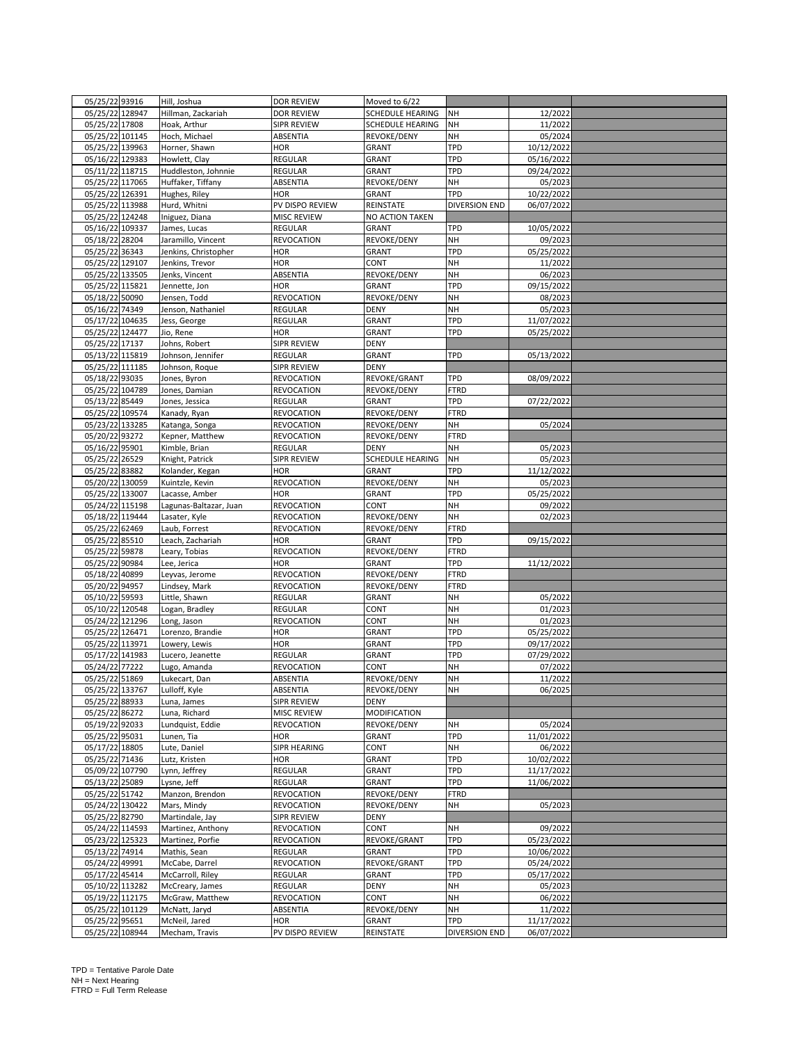| 05/25/22 93916  | Hill, Joshua           | <b>DOR REVIEW</b>  | Moved to 6/22    |               |            |  |
|-----------------|------------------------|--------------------|------------------|---------------|------------|--|
| 05/25/22 128947 | Hillman, Zackariah     | <b>DOR REVIEW</b>  | SCHEDULE HEARING | NH            | 12/2022    |  |
| 05/25/22 17808  | Hoak, Arthur           | SIPR REVIEW        | SCHEDULE HEARING | NH            | 11/2022    |  |
| 05/25/22 101145 | Hoch, Michael          | ABSENTIA           | REVOKE/DENY      | NH            | 05/2024    |  |
| 05/25/22 139963 | Horner, Shawn          | HOR                | GRANT            | <b>TPD</b>    | 10/12/2022 |  |
| 05/16/22 129383 | Howlett, Clay          | <b>REGULAR</b>     | GRANT            | <b>TPD</b>    | 05/16/2022 |  |
| 05/11/22 118715 | Huddleston, Johnnie    | <b>REGULAR</b>     | GRANT            | TPD           | 09/24/2022 |  |
| 05/25/22 117065 | Huffaker, Tiffany      | ABSENTIA           | REVOKE/DENY      | NH            |            |  |
|                 |                        |                    |                  |               | 05/2023    |  |
| 05/25/22 126391 | Hughes, Riley          | <b>HOR</b>         | GRANT            | <b>TPD</b>    | 10/22/2022 |  |
| 05/25/22 113988 | Hurd, Whitni           | PV DISPO REVIEW    | REINSTATE        | DIVERSION END | 06/07/2022 |  |
| 05/25/22 124248 | Iniguez, Diana         | <b>MISC REVIEW</b> | NO ACTION TAKEN  |               |            |  |
| 05/16/22 109337 | James, Lucas           | <b>REGULAR</b>     | GRANT            | TPD           | 10/05/2022 |  |
| 05/18/22 28204  | Jaramillo, Vincent     | <b>REVOCATION</b>  | REVOKE/DENY      | NH            | 09/2023    |  |
| 05/25/22 36343  | Jenkins, Christopher   | HOR                | GRANT            | TPD           | 05/25/2022 |  |
| 05/25/22 129107 | Jenkins, Trevor        | <b>HOR</b>         | CONT             | NH            | 11/2022    |  |
| 05/25/22 133505 | Jenks, Vincent         | ABSENTIA           | REVOKE/DENY      | NH            | 06/2023    |  |
| 05/25/22 115821 | Jennette, Jon          | <b>HOR</b>         | GRANT            | <b>TPD</b>    | 09/15/2022 |  |
| 05/18/22 50090  | Jensen, Todd           | <b>REVOCATION</b>  | REVOKE/DENY      | NH            | 08/2023    |  |
| 05/16/22 74349  | Jenson, Nathaniel      | <b>REGULAR</b>     | <b>DENY</b>      | NH            | 05/2023    |  |
| 05/17/22 104635 | Jess, George           | REGULAR            | GRANT            | TPD           | 11/07/2022 |  |
| 05/25/22 124477 | Jio, Rene              | <b>HOR</b>         | GRANT            | TPD           | 05/25/2022 |  |
| 05/25/22 17137  | Johns, Robert          | SIPR REVIEW        | <b>DENY</b>      |               |            |  |
| 05/13/22 115819 | Johnson, Jennifer      | <b>REGULAR</b>     | GRANT            | <b>TPD</b>    | 05/13/2022 |  |
| 05/25/22 111185 | Johnson, Roque         | SIPR REVIEW        | DENY             |               |            |  |
| 05/18/22 93035  | Jones, Byron           | REVOCATION         | REVOKE/GRANT     | <b>TPD</b>    | 08/09/2022 |  |
| 05/25/22 104789 | Jones, Damian          | <b>REVOCATION</b>  | REVOKE/DENY      | <b>FTRD</b>   |            |  |
|                 |                        |                    | GRANT            | TPD           | 07/22/2022 |  |
| 05/13/22 85449  | Jones, Jessica         | REGULAR            |                  |               |            |  |
| 05/25/22 109574 | Kanady, Ryan           | <b>REVOCATION</b>  | REVOKE/DENY      | <b>FTRD</b>   |            |  |
| 05/23/22 133285 | Katanga, Songa         | <b>REVOCATION</b>  | REVOKE/DENY      | NH            | 05/2024    |  |
| 05/20/22 93272  | Kepner, Matthew        | <b>REVOCATION</b>  | REVOKE/DENY      | <b>FTRD</b>   |            |  |
| 05/16/22 95901  | Kimble, Brian          | <b>REGULAR</b>     | <b>DENY</b>      | NH            | 05/2023    |  |
| 05/25/22 26529  | Knight, Patrick        | SIPR REVIEW        | SCHEDULE HEARING | NH            | 05/2023    |  |
| 05/25/22 83882  | Kolander, Kegan        | <b>HOR</b>         | GRANT            | TPD           | 11/12/2022 |  |
| 05/20/22 130059 | Kuintzle, Kevin        | <b>REVOCATION</b>  | REVOKE/DENY      | NH            | 05/2023    |  |
| 05/25/22 133007 | Lacasse, Amber         | <b>HOR</b>         | GRANT            | TPD           | 05/25/2022 |  |
| 05/24/22 115198 | Lagunas-Baltazar, Juan | <b>REVOCATION</b>  | CONT             | NH            | 09/2022    |  |
| 05/18/22 119444 | Lasater, Kyle          | <b>REVOCATION</b>  | REVOKE/DENY      | NH            | 02/2023    |  |
| 05/25/22 62469  | Laub, Forrest          | <b>REVOCATION</b>  | REVOKE/DENY      | <b>FTRD</b>   |            |  |
| 05/25/22 85510  | Leach, Zachariah       | <b>HOR</b>         | GRANT            | TPD           | 09/15/2022 |  |
| 05/25/22 59878  | Leary, Tobias          | <b>REVOCATION</b>  | REVOKE/DENY      | <b>FTRD</b>   |            |  |
| 05/25/22 90984  | Lee, Jerica            | <b>HOR</b>         | GRANT            | TPD           | 11/12/2022 |  |
|                 |                        |                    |                  |               |            |  |
| 05/18/22 40899  | Leyvas, Jerome         | <b>REVOCATION</b>  | REVOKE/DENY      | <b>FTRD</b>   |            |  |
| 05/20/22 94957  | Lindsey, Mark          | REVOCATION         | REVOKE/DENY      | <b>FTRD</b>   |            |  |
| 05/10/22 59593  | Little, Shawn          | <b>REGULAR</b>     | GRANT            | NH            | 05/2022    |  |
| 05/10/22 120548 | Logan, Bradley         | REGULAR            | CONT             | NH            | 01/2023    |  |
| 05/24/22 121296 | Long, Jason            | <b>REVOCATION</b>  | CONT             | NH            | 01/2023    |  |
| 05/25/22 126471 | Lorenzo, Brandie       | HOR                | GRANT            | TPD           | 05/25/2022 |  |
| 05/25/22 113971 | Lowery, Lewis          | HOR                | GRANT            | TPD           | 09/17/2022 |  |
| 05/17/22 141983 | Lucero, Jeanette       | <b>REGULAR</b>     | GRANT            | <b>TPD</b>    | 07/29/2022 |  |
| 05/24/22 77222  | Lugo, Amanda           | REVOCATION         | CONT             | NH            | 07/2022    |  |
| 05/25/22 51869  | Lukecart, Dan          | ABSENTIA           | REVOKE/DENY      | NH            | 11/2022    |  |
| 05/25/22 133767 | Lulloff, Kyle          | ABSENTIA           | REVOKE/DENY      | NΗ            | 06/2025    |  |
| 05/25/22 88933  | Luna, James            | <b>SIPR REVIEW</b> | DENY             |               |            |  |
| 05/25/22 86272  | Luna, Richard          | MISC REVIEW        | MODIFICATION     |               |            |  |
| 05/19/22 92033  | Lundquist, Eddie       | <b>REVOCATION</b>  | REVOKE/DENY      | NH            | 05/2024    |  |
| 05/25/22 95031  | Lunen, Tia             | HOR                | GRANT            | <b>TPD</b>    | 11/01/2022 |  |
| 05/17/22 18805  | Lute, Daniel           | SIPR HEARING       | CONT             | NH            | 06/2022    |  |
|                 | Lutz, Kristen          |                    |                  |               |            |  |
| 05/25/22 71436  |                        | <b>HOR</b>         | GRANT            | TPD           | 10/02/2022 |  |
| 05/09/22 107790 | Lynn, Jeffrey          | REGULAR            | GRANT            | <b>TPD</b>    | 11/17/2022 |  |
| 05/13/22 25089  | Lysne, Jeff            | REGULAR            | GRANT            | TPD           | 11/06/2022 |  |
| 05/25/22 51742  | Manzon, Brendon        | <b>REVOCATION</b>  | REVOKE/DENY      | <b>FTRD</b>   |            |  |
| 05/24/22 130422 | Mars, Mindy            | <b>REVOCATION</b>  | REVOKE/DENY      | NH            | 05/2023    |  |
| 05/25/22 82790  | Martindale, Jay        | SIPR REVIEW        | DENY             |               |            |  |
| 05/24/22 114593 | Martinez, Anthony      | <b>REVOCATION</b>  | CONT             | NH            | 09/2022    |  |
| 05/23/22 125323 | Martinez, Porfie       | <b>REVOCATION</b>  | REVOKE/GRANT     | TPD           | 05/23/2022 |  |
| 05/13/22 74914  | Mathis, Sean           | <b>REGULAR</b>     | GRANT            | TPD           | 10/06/2022 |  |
| 05/24/22 49991  | McCabe, Darrel         | <b>REVOCATION</b>  | REVOKE/GRANT     | <b>TPD</b>    | 05/24/2022 |  |
| 05/17/22 45414  | McCarroll, Riley       | REGULAR            | GRANT            | <b>TPD</b>    | 05/17/2022 |  |
| 05/10/22 113282 | McCreary, James        | <b>REGULAR</b>     | <b>DENY</b>      | NH            | 05/2023    |  |
| 05/19/22 112175 | McGraw, Matthew        | <b>REVOCATION</b>  | CONT             | NH            | 06/2022    |  |
| 05/25/22 101129 | McNatt, Jaryd          | ABSENTIA           | REVOKE/DENY      | NH            | 11/2022    |  |
| 05/25/22 95651  | McNeil, Jared          | <b>HOR</b>         | GRANT            | TPD           | 11/17/2022 |  |
| 05/25/22 108944 | Mecham, Travis         | PV DISPO REVIEW    | REINSTATE        | DIVERSION END | 06/07/2022 |  |
|                 |                        |                    |                  |               |            |  |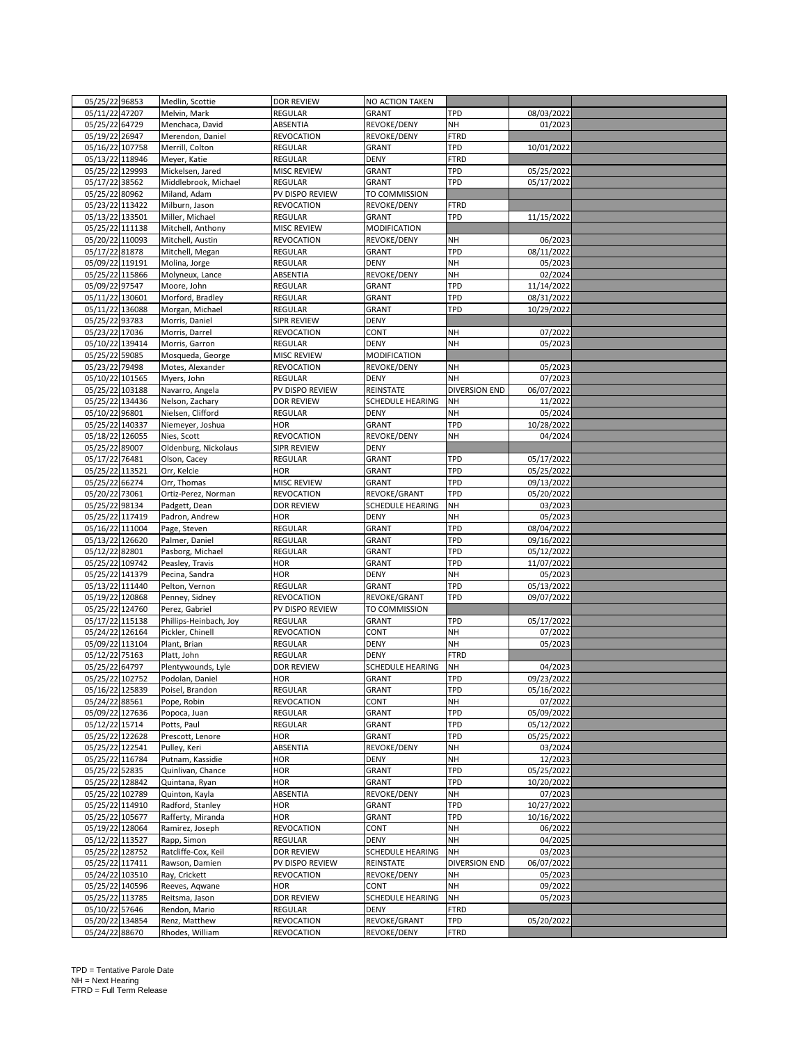| 05/25/22 96853  | Medlin, Scottie        | <b>DOR REVIEW</b>  | NO ACTION TAKEN     |                      |            |  |
|-----------------|------------------------|--------------------|---------------------|----------------------|------------|--|
| 05/11/22 47207  | Melvin, Mark           | <b>REGULAR</b>     | GRANT               | TPD                  | 08/03/2022 |  |
| 05/25/22 64729  | Menchaca, David        | ABSENTIA           | REVOKE/DENY         | NH                   | 01/2023    |  |
| 05/19/22 26947  | Merendon, Daniel       | <b>REVOCATION</b>  | REVOKE/DENY         | <b>FTRD</b>          |            |  |
| 05/16/22 107758 | Merrill, Colton        | REGULAR            | GRANT               | TPD                  | 10/01/2022 |  |
|                 |                        |                    |                     |                      |            |  |
| 05/13/22 118946 | Meyer, Katie           | <b>REGULAR</b>     | <b>DENY</b>         | <b>FTRD</b>          |            |  |
| 05/25/22 129993 | Mickelsen, Jared       | <b>MISC REVIEW</b> | GRANT               | TPD                  | 05/25/2022 |  |
| 05/17/22 38562  | Middlebrook, Michael   | REGULAR            | GRANT               | TPD                  | 05/17/2022 |  |
| 05/25/22 80962  | Miland, Adam           | PV DISPO REVIEW    | TO COMMISSION       |                      |            |  |
| 05/23/22 113422 | Milburn, Jason         | <b>REVOCATION</b>  | REVOKE/DENY         | <b>FTRD</b>          |            |  |
| 05/13/22 133501 | Miller, Michael        | <b>REGULAR</b>     | GRANT               | TPD                  | 11/15/2022 |  |
| 05/25/22 111138 | Mitchell, Anthony      | <b>MISC REVIEW</b> | <b>MODIFICATION</b> |                      |            |  |
| 05/20/22 110093 | Mitchell, Austin       | <b>REVOCATION</b>  | REVOKE/DENY         | NH                   | 06/2023    |  |
| 05/17/22 81878  | Mitchell, Megan        | <b>REGULAR</b>     | GRANT               | TPD                  | 08/11/2022 |  |
| 05/09/22 119191 | Molina, Jorge          | <b>REGULAR</b>     | <b>DENY</b>         | NH                   | 05/2023    |  |
|                 |                        |                    |                     |                      |            |  |
| 05/25/22 115866 | Molyneux, Lance        | ABSENTIA           | REVOKE/DENY         | NH                   | 02/2024    |  |
| 05/09/22 97547  | Moore, John            | REGULAR            | GRANT               | TPD                  | 11/14/2022 |  |
| 05/11/22 130601 | Morford, Bradley       | REGULAR            | GRANT               | TPD                  | 08/31/2022 |  |
| 05/11/22 136088 | Morgan, Michael        | <b>REGULAR</b>     | GRANT               | TPD                  | 10/29/2022 |  |
| 05/25/22 93783  | Morris, Daniel         | SIPR REVIEW        | <b>DENY</b>         |                      |            |  |
| 05/23/22 17036  | Morris, Darrel         | <b>REVOCATION</b>  | CONT                | NH                   | 07/2022    |  |
| 05/10/22 139414 | Morris, Garron         | REGULAR            | <b>DENY</b>         | NH                   | 05/2023    |  |
| 05/25/22 59085  | Mosqueda, George       | MISC REVIEW        | MODIFICATION        |                      |            |  |
| 05/23/22 79498  | Motes, Alexander       | REVOCATION         | REVOKE/DENY         | NH                   | 05/2023    |  |
|                 |                        |                    |                     |                      |            |  |
| 05/10/22 101565 | Myers, John            | REGULAR            | <b>DENY</b>         | NH                   | 07/2023    |  |
| 05/25/22 103188 | Navarro, Angela        | PV DISPO REVIEW    | REINSTATE           | <b>DIVERSION END</b> | 06/07/2022 |  |
| 05/25/22 134436 | Nelson, Zachary        | <b>DOR REVIEW</b>  | SCHEDULE HEARING    | <b>NH</b>            | 11/2022    |  |
| 05/10/22 96801  | Nielsen, Clifford      | REGULAR            | <b>DENY</b>         | NH                   | 05/2024    |  |
| 05/25/22 140337 | Niemeyer, Joshua       | HOR                | GRANT               | TPD                  | 10/28/2022 |  |
| 05/18/22 126055 | Nies, Scott            | <b>REVOCATION</b>  | REVOKE/DENY         | NH                   | 04/2024    |  |
| 05/25/22 89007  | Oldenburg, Nickolaus   | SIPR REVIEW        | <b>DENY</b>         |                      |            |  |
| 05/17/22 76481  | Olson, Cacey           | <b>REGULAR</b>     | GRANT               | TPD                  | 05/17/2022 |  |
| 05/25/22 113521 | Orr, Kelcie            | <b>HOR</b>         | GRANT               | TPD                  | 05/25/2022 |  |
|                 |                        |                    |                     |                      |            |  |
| 05/25/22 66274  | Orr, Thomas            | <b>MISC REVIEW</b> | GRANT               | TPD                  | 09/13/2022 |  |
| 05/20/22 73061  | Ortiz-Perez, Norman    | <b>REVOCATION</b>  | REVOKE/GRANT        | TPD                  | 05/20/2022 |  |
| 05/25/22 98134  | Padgett, Dean          | <b>DOR REVIEW</b>  | SCHEDULE HEARING    | NH                   | 03/2023    |  |
| 05/25/22 117419 | Padron, Andrew         | HOR                | <b>DENY</b>         | NH                   | 05/2023    |  |
| 05/16/22 111004 | Page, Steven           | <b>REGULAR</b>     | GRANT               | TPD                  | 08/04/2022 |  |
| 05/13/22 126620 | Palmer, Daniel         | <b>REGULAR</b>     | GRANT               | TPD                  | 09/16/2022 |  |
| 05/12/22 82801  | Pasborg, Michael       | <b>REGULAR</b>     | GRANT               | TPD                  | 05/12/2022 |  |
| 05/25/22 109742 | Peasley, Travis        | HOR                | GRANT               | <b>TPD</b>           | 11/07/2022 |  |
| 05/25/22 141379 |                        | <b>HOR</b>         | <b>DENY</b>         | <b>NH</b>            | 05/2023    |  |
|                 | Pecina, Sandra         |                    |                     |                      |            |  |
| 05/13/22 111440 | Pelton, Vernon         | <b>REGULAR</b>     | GRANT               | <b>TPD</b>           | 05/13/2022 |  |
| 05/19/22 120868 | Penney, Sidney         | <b>REVOCATION</b>  | REVOKE/GRANT        | TPD                  | 09/07/2022 |  |
| 05/25/22 124760 | Perez, Gabriel         | PV DISPO REVIEW    | TO COMMISSION       |                      |            |  |
| 05/17/22 115138 | Phillips-Heinbach, Joy | REGULAR            | GRANT               | TPD                  | 05/17/2022 |  |
| 05/24/22 126164 | Pickler, Chinell       | <b>REVOCATION</b>  | CONT                | NH                   | 07/2022    |  |
| 05/09/22 113104 | Plant, Brian           | <b>REGULAR</b>     | <b>DENY</b>         | NH                   | 05/2023    |  |
| 05/12/22 75163  | Platt, John            | <b>REGULAR</b>     | DENY                | <b>FTRD</b>          |            |  |
| 05/25/22 64797  | Plentywounds, Lyle     | <b>DOR REVIEW</b>  | SCHEDULE HEARING    | NH                   | 04/2023    |  |
| 05/25/22 102752 | Podolan, Daniel        | HOR                | GRANT               | <b>TPD</b>           | 09/23/2022 |  |
| 05/16/22 125839 |                        | <b>REGULAR</b>     |                     | TPD                  | 05/16/2022 |  |
|                 | Poisel, Brandon        |                    | GRANT               |                      |            |  |
| 05/24/22 88561  | Pope, Robin            | <b>REVOCATION</b>  | CONT                | NH                   | 07/2022    |  |
| 05/09/22 127636 | Popoca, Juan           | <b>REGULAR</b>     | GRANT               | TPD                  | 05/09/2022 |  |
| 05/12/22 15714  | Potts, Paul            | REGULAR            | GRANT               | <b>TPD</b>           | 05/12/2022 |  |
| 05/25/22 122628 | Prescott, Lenore       | HOR                | GRANT               | <b>TPD</b>           | 05/25/2022 |  |
| 05/25/22 122541 | Pulley, Keri           | ABSENTIA           | REVOKE/DENY         | NH                   | 03/2024    |  |
| 05/25/22 116784 | Putnam, Kassidie       | HOR                | DENY                | NH                   | 12/2023    |  |
| 05/25/22 52835  | Quinlivan, Chance      | <b>HOR</b>         | GRANT               | TPD                  | 05/25/2022 |  |
| 05/25/22 128842 | Quintana, Ryan         | <b>HOR</b>         | GRANT               | TPD                  | 10/20/2022 |  |
| 05/25/22 102789 | Quinton, Kayla         | ABSENTIA           | REVOKE/DENY         | NH                   | 07/2023    |  |
|                 |                        | HOR                | GRANT               | <b>TPD</b>           | 10/27/2022 |  |
| 05/25/22 114910 | Radford, Stanley       |                    |                     |                      |            |  |
| 05/25/22 105677 | Rafferty, Miranda      | <b>HOR</b>         | GRANT               | <b>TPD</b>           | 10/16/2022 |  |
| 05/19/22 128064 | Ramirez, Joseph        | <b>REVOCATION</b>  | CONT                | NH                   | 06/2022    |  |
| 05/12/22 113527 | Rapp, Simon            | <b>REGULAR</b>     | <b>DENY</b>         | NH                   | 04/2025    |  |
| 05/25/22 128752 | Ratcliffe-Cox, Keil    | <b>DOR REVIEW</b>  | SCHEDULE HEARING    | NH                   | 03/2023    |  |
| 05/25/22 117411 | Rawson, Damien         | PV DISPO REVIEW    | REINSTATE           | <b>DIVERSION END</b> | 06/07/2022 |  |
| 05/24/22 103510 | Ray, Crickett          | <b>REVOCATION</b>  | REVOKE/DENY         | NH                   | 05/2023    |  |
| 05/25/22 140596 | Reeves, Aqwane         | <b>HOR</b>         | CONT                | NH                   | 09/2022    |  |
| 05/25/22 113785 | Reitsma, Jason         | <b>DOR REVIEW</b>  | SCHEDULE HEARING    | NH                   | 05/2023    |  |
| 05/10/22 57646  | Rendon, Mario          | <b>REGULAR</b>     | <b>DENY</b>         | <b>FTRD</b>          |            |  |
|                 |                        |                    |                     |                      |            |  |
| 05/20/22 134854 | Renz, Matthew          | <b>REVOCATION</b>  | REVOKE/GRANT        | TPD                  | 05/20/2022 |  |
| 05/24/22 88670  | Rhodes, William        | <b>REVOCATION</b>  | REVOKE/DENY         | <b>FTRD</b>          |            |  |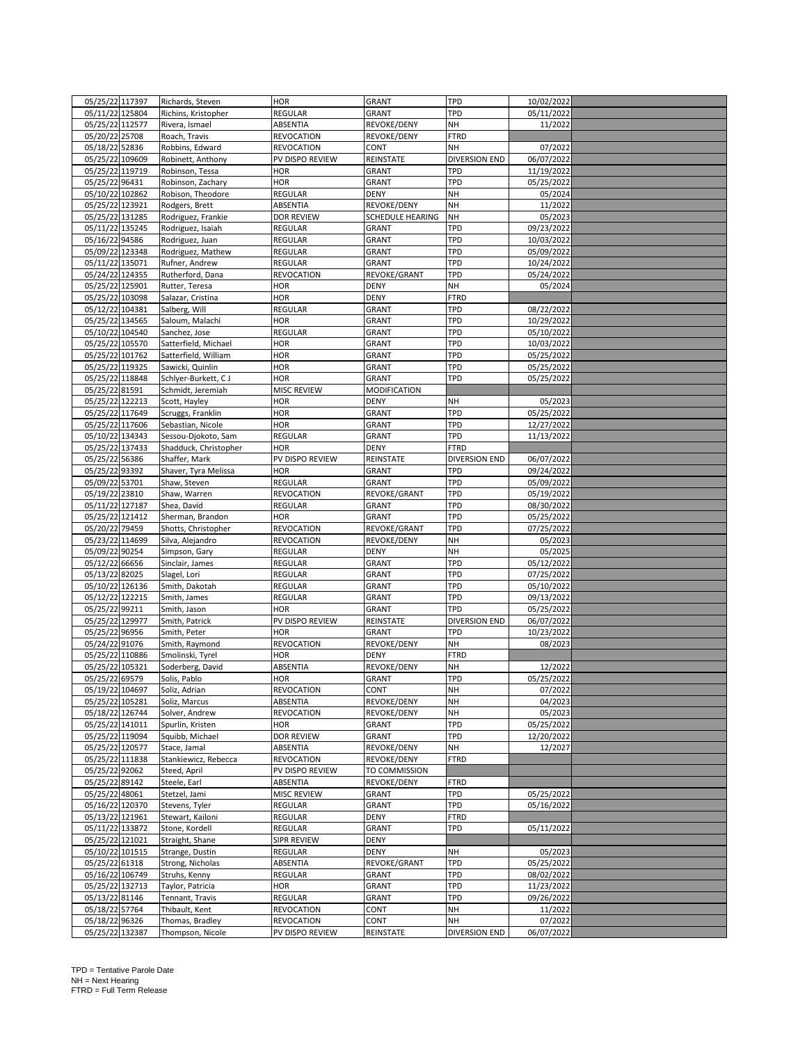|                 | 05/25/22 117397 | Richards, Steven      | <b>HOR</b>         | <b>GRANT</b>     | <b>TPD</b>           | 10/02/2022 |  |
|-----------------|-----------------|-----------------------|--------------------|------------------|----------------------|------------|--|
|                 | 05/11/22 125804 | Richins, Kristopher   | REGULAR            | GRANT            | TPD                  | 05/11/2022 |  |
|                 | 05/25/22 112577 | Rivera, Ismael        | ABSENTIA           | REVOKE/DENY      | NH                   | 11/2022    |  |
| 05/20/22 25708  |                 | Roach, Travis         | <b>REVOCATION</b>  | REVOKE/DENY      | <b>FTRD</b>          |            |  |
| 05/18/22 52836  |                 | Robbins, Edward       | <b>REVOCATION</b>  | CONT             | NH                   | 07/2022    |  |
|                 | 05/25/22 109609 | Robinett, Anthony     | PV DISPO REVIEW    | REINSTATE        | <b>DIVERSION END</b> | 06/07/2022 |  |
|                 | 05/25/22 119719 | Robinson, Tessa       | HOR                | GRANT            | <b>TPD</b>           | 11/19/2022 |  |
| 05/25/22 96431  |                 | Robinson, Zachary     | HOR                | GRANT            | <b>TPD</b>           | 05/25/2022 |  |
|                 | 05/10/22 102862 | Robison, Theodore     | REGULAR            | <b>DENY</b>      | NH                   | 05/2024    |  |
|                 | 05/25/22 123921 | Rodgers, Brett        | ABSENTIA           | REVOKE/DENY      | NH                   | 11/2022    |  |
|                 | 05/25/22 131285 |                       |                    |                  | NH                   |            |  |
|                 |                 | Rodriguez, Frankie    | <b>DOR REVIEW</b>  | SCHEDULE HEARING |                      | 05/2023    |  |
|                 | 05/11/22 135245 | Rodriguez, Isaiah     | <b>REGULAR</b>     | GRANT            | TPD                  | 09/23/2022 |  |
| 05/16/22 94586  |                 | Rodriguez, Juan       | <b>REGULAR</b>     | GRANT            | <b>TPD</b>           | 10/03/2022 |  |
|                 | 05/09/22 123348 | Rodriguez, Mathew     | <b>REGULAR</b>     | GRANT            | <b>TPD</b>           | 05/09/2022 |  |
|                 | 05/11/22 135071 | Rufner, Andrew        | <b>REGULAR</b>     | GRANT            | TPD                  | 10/24/2022 |  |
| 05/24/22 124355 |                 | Rutherford, Dana      | <b>REVOCATION</b>  | REVOKE/GRANT     | <b>TPD</b>           | 05/24/2022 |  |
| 05/25/22 125901 |                 | Rutter, Teresa        | HOR                | <b>DENY</b>      | NH                   | 05/2024    |  |
|                 | 05/25/22 103098 | Salazar, Cristina     | HOR                | <b>DENY</b>      | <b>FTRD</b>          |            |  |
|                 | 05/12/22 104381 | Salberg, Will         | <b>REGULAR</b>     | GRANT            | <b>TPD</b>           | 08/22/2022 |  |
|                 | 05/25/22 134565 | Saloum, Malachi       | HOR                | GRANT            | <b>TPD</b>           | 10/29/2022 |  |
| 05/10/22 104540 |                 | Sanchez, Jose         | <b>REGULAR</b>     | GRANT            | <b>TPD</b>           | 05/10/2022 |  |
|                 | 05/25/22 105570 | Satterfield, Michael  | <b>HOR</b>         | GRANT            | TPD                  | 10/03/2022 |  |
| 05/25/22 101762 |                 | Satterfield, William  | HOR                | GRANT            | TPD                  | 05/25/2022 |  |
|                 | 05/25/22 119325 | Sawicki, Quinlin      | HOR                | GRANT            | TPD                  | 05/25/2022 |  |
|                 | 05/25/22 118848 | Schlyer-Burkett, CJ   | HOR                | GRANT            | TPD                  | 05/25/2022 |  |
| 05/25/22 81591  |                 | Schmidt, Jeremiah     | <b>MISC REVIEW</b> | MODIFICATION     |                      |            |  |
|                 | 05/25/22 122213 | Scott, Hayley         | HOR                | <b>DENY</b>      | NH                   | 05/2023    |  |
|                 | 05/25/22 117649 | Scruggs, Franklin     | <b>HOR</b>         | GRANT            | TPD                  | 05/25/2022 |  |
|                 | 05/25/22 117606 | Sebastian, Nicole     | <b>HOR</b>         | GRANT            | TPD                  | 12/27/2022 |  |
|                 | 05/10/22 134343 |                       | REGULAR            |                  | TPD                  | 11/13/2022 |  |
|                 |                 | Sessou-Djokoto, Sam   |                    | GRANT            |                      |            |  |
|                 | 05/25/22 137433 | Shadduck, Christopher | HOR                | <b>DENY</b>      | <b>FTRD</b>          |            |  |
| 05/25/22 56386  |                 | Shaffer, Mark         | PV DISPO REVIEW    | REINSTATE        | DIVERSION END        | 06/07/2022 |  |
| 05/25/22 93392  |                 | Shaver, Tyra Melissa  | <b>HOR</b>         | GRANT            | TPD                  | 09/24/2022 |  |
| 05/09/22 53701  |                 | Shaw, Steven          | <b>REGULAR</b>     | GRANT            | TPD                  | 05/09/2022 |  |
| 05/19/22 23810  |                 | Shaw, Warren          | <b>REVOCATION</b>  | REVOKE/GRANT     | TPD                  | 05/19/2022 |  |
| 05/11/22 127187 |                 | Shea, David           | REGULAR            | GRANT            | TPD                  | 08/30/2022 |  |
|                 | 05/25/22 121412 | Sherman, Brandon      | <b>HOR</b>         | GRANT            | TPD                  | 05/25/2022 |  |
| 05/20/22 79459  |                 | Shotts, Christopher   | <b>REVOCATION</b>  | REVOKE/GRANT     | <b>TPD</b>           | 07/25/2022 |  |
|                 | 05/23/22 114699 | Silva, Alejandro      | <b>REVOCATION</b>  | REVOKE/DENY      | NH                   | 05/2023    |  |
| 05/09/22 90254  |                 | Simpson, Gary         | <b>REGULAR</b>     | DENY             | NH                   | 05/2025    |  |
| 05/12/22 66656  |                 | Sinclair, James       | REGULAR            | GRANT            | TPD                  | 05/12/2022 |  |
| 05/13/22 82025  |                 | Slagel, Lori          | <b>REGULAR</b>     | GRANT            | TPD                  | 07/25/2022 |  |
|                 | 05/10/22 126136 | Smith, Dakotah        | REGULAR            | GRANT            | <b>TPD</b>           | 05/10/2022 |  |
|                 | 05/12/22 122215 | Smith, James          | <b>REGULAR</b>     | GRANT            | TPD                  | 09/13/2022 |  |
| 05/25/22 99211  |                 |                       |                    |                  |                      |            |  |
|                 |                 | Smith, Jason          | <b>HOR</b>         | GRANT            | <b>TPD</b>           | 05/25/2022 |  |
|                 | 05/25/22 129977 | Smith, Patrick        | PV DISPO REVIEW    | REINSTATE        | <b>DIVERSION END</b> | 06/07/2022 |  |
| 05/25/22 96956  |                 | Smith, Peter          | <b>HOR</b>         | GRANT            | TPD                  | 10/23/2022 |  |
| 05/24/22 91076  |                 | Smith, Raymond        | <b>REVOCATION</b>  | REVOKE/DENY      | NH                   | 08/2023    |  |
|                 | 05/25/22 110886 | Smolinski, Tyrel      | HOR                | <b>DENY</b>      | <b>FTRD</b>          |            |  |
|                 | 05/25/22 105321 | Soderberg, David      | ABSENTIA           | REVOKE/DENY      | NH                   | 12/2022    |  |
| 05/25/22 69579  |                 | Solis, Pablo          | HOR                | GRANT            | TPD                  | 05/25/2022 |  |
|                 | 05/19/22 104697 | Soliz, Adrian         | <b>REVOCATION</b>  | CONT             | NΗ                   | 07/2022    |  |
|                 | 05/25/22 105281 | Soliz, Marcus         | ABSENTIA           | REVOKE/DENY      | NH                   | 04/2023    |  |
|                 | 05/18/22 126744 | Solver, Andrew        | <b>REVOCATION</b>  | REVOKE/DENY      | NH                   | 05/2023    |  |
| 05/25/22 141011 |                 | Spurlin, Kristen      | HOR                | GRANT            | <b>TPD</b>           | 05/25/2022 |  |
|                 | 05/25/22 119094 | Squibb, Michael       | <b>DOR REVIEW</b>  | GRANT            | TPD                  | 12/20/2022 |  |
|                 | 05/25/22 120577 | Stace, Jamal          | ABSENTIA           | REVOKE/DENY      | NH                   | 12/2027    |  |
| 05/25/22 111838 |                 | Stankiewicz, Rebecca  | <b>REVOCATION</b>  | REVOKE/DENY      | <b>FTRD</b>          |            |  |
| 05/25/22 92062  |                 | Steed, April          | PV DISPO REVIEW    | TO COMMISSION    |                      |            |  |
| 05/25/22 89142  |                 | Steele, Earl          | ABSENTIA           | REVOKE/DENY      | <b>FTRD</b>          |            |  |
| 05/25/22 48061  |                 | Stetzel, Jami         | MISC REVIEW        | GRANT            | <b>TPD</b>           | 05/25/2022 |  |
| 05/16/22 120370 |                 | Stevens, Tyler        | REGULAR            | GRANT            | TPD                  | 05/16/2022 |  |
|                 | 05/13/22 121961 | Stewart, Kailoni      | <b>REGULAR</b>     | <b>DENY</b>      | <b>FTRD</b>          |            |  |
|                 |                 |                       |                    |                  |                      |            |  |
|                 | 05/11/22 133872 | Stone, Kordell        | REGULAR            | GRANT            | <b>TPD</b>           | 05/11/2022 |  |
|                 | 05/25/22 121021 | Straight, Shane       | <b>SIPR REVIEW</b> | <b>DENY</b>      |                      |            |  |
| 05/10/22 101515 |                 | Strange, Dustin       | <b>REGULAR</b>     | DENY             | NH                   | 05/2023    |  |
| 05/25/22 61318  |                 | Strong, Nicholas      | ABSENTIA           | REVOKE/GRANT     | TPD                  | 05/25/2022 |  |
| 05/16/22 106749 |                 | Struhs, Kenny         | <b>REGULAR</b>     | GRANT            | TPD                  | 08/02/2022 |  |
| 05/25/22 132713 |                 | Taylor, Patricia      | HOR                | GRANT            | <b>TPD</b>           | 11/23/2022 |  |
| 05/13/22 81146  |                 | Tennant, Travis       | <b>REGULAR</b>     | GRANT            | <b>TPD</b>           | 09/26/2022 |  |
| 05/18/22 57764  |                 | Thibault, Kent        | <b>REVOCATION</b>  | CONT             | NH                   | 11/2022    |  |
| 05/18/22 96326  |                 | Thomas, Bradley       | <b>REVOCATION</b>  | CONT             | NH                   | 07/2022    |  |
|                 |                 | Thompson, Nicole      | PV DISPO REVIEW    | REINSTATE        | <b>DIVERSION END</b> | 06/07/2022 |  |
| 05/25/22 132387 |                 |                       |                    |                  |                      |            |  |